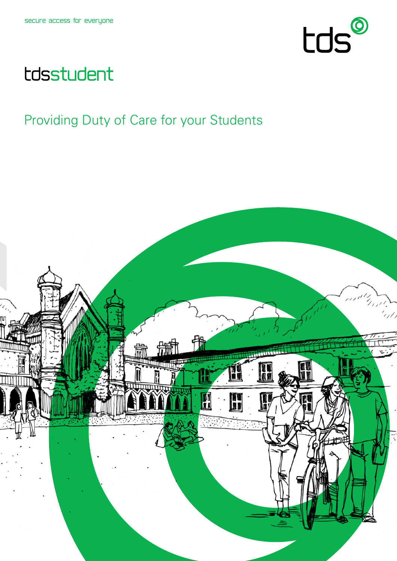

# tdsstudent

## Providing Duty of Care for your Students

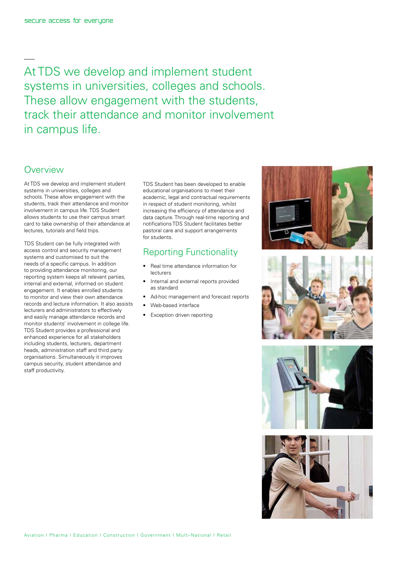At TDS we develop and implement student systems in universities, colleges and schools. These allow engagement with the students, track their attendance and monitor involvement in campus life.

#### **Overview**

At TDS we develop and implement student systems in universities, colleges and schools. These allow engagement with the students, track their attendance and monitor involvement in campus life. TDS Student allows students to use their campus smart card to take ownership of their attendance at lectures, tutorials and field trips.

TDS Student can be fully integrated with access control and security management systems and customised to suit the needs of a specific campus. In addition to providing attendance monitoring, our reporting system keeps all relevant parties, internal and external, informed on student engagement. It enables enrolled students to monitor and view their own attendance records and lecture information. It also assists lecturers and administrators to effectively and easily manage attendance records and monitor students' involvement in college life. TDS Student provides a professional and enhanced experience for all stakeholders including students, lecturers, department heads, administration staff and third party organisations. Simultaneously it improves campus security, student attendance and staff productivity.

TDS Student has been developed to enable educational organisations to meet their academic, legal and contractual requirements in respect of student monitoring, whilst increasing the efficiency of attendance and data capture. Through real-time reporting and notifications TDS Student facilitates better pastoral care and support arrangements for students.

#### Reporting Functionality

- • Real time attendance information for lecturers
- Internal and external reports provided as standard
- • Ad-hoc management and forecast reports
- Web-based interface
- • Exception driven reporting







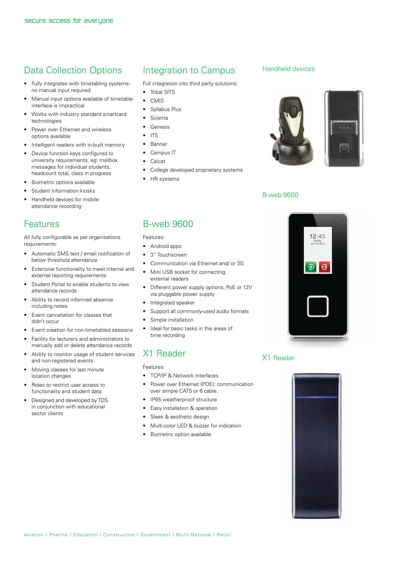## Data Collection Options

- • Fully integrates with timetabling systemsno manual input required
- Manual input options available of timetable interface is impractical
- Works with industry standard smartcard technologies
- Power over Ethernet and wireless options available
- Intelligent readers with in-built memory
- Device function keys configured to university requirements, eg: mailbox messages for individual students, headcount total, class in progress
- Biometric options available
- Student Information kiosks
- Handheld devices for mobile attendance recording

#### Features

All fully configurable as per organisations requirements:

- • Automatic SMS text / email notification of below threshold attendance
- • Extensive functionality to meet internal and external reporting requirements
- Student Portal to enable students to view attendance records
- Ability to record informed absence including notes
- Event cancellation for classes that didn't occur
- Event creation for non-timetabled sessions
- Facility for lecturers and administrators to manually add or delete attendance records
- Ability to monitor usage of student services and non-registered events
- Moving classes for last minute location changes
- Roles to restrict user access to functionality and student data
- Designed and developed by TDS in conjunction with educational sector clients

## Integration to Campus

Full integration into third party solutions:

- Tribal SITS
- • CMIS
- Syllabus Plus
- **Scienta**
- • Genesis
- • ITS
- • Banner
- • Campus IT
- • Celcat
- College developed proprietary systems
- • HR systems

#### B-web 9600

#### Features:

- • Android apps
- 3" Touchscreen
- Communication via Ethernet and/ or 3G
- Mini USB socket for connecting external readers
- • Different power supply options, PoE or 12V via pluggable power supply
- Integrated speaker
- • Support all commonly-used audio formats
- Simple installation
- • Ideal for basic tasks in the areas of time recording

### X1 Reader

Features:

- • TCP/IP & Network interfaces
- Power over Ethernet (POE): communication over simple CAT5 or 6 cable.
- • IP65 weatherproof structure
- Easy installation & operation
- Sleek & aesthetic design
- • Multi-color LED & buzzer for indication
- Biometric option available

#### Handheld devices





#### B-web 9600